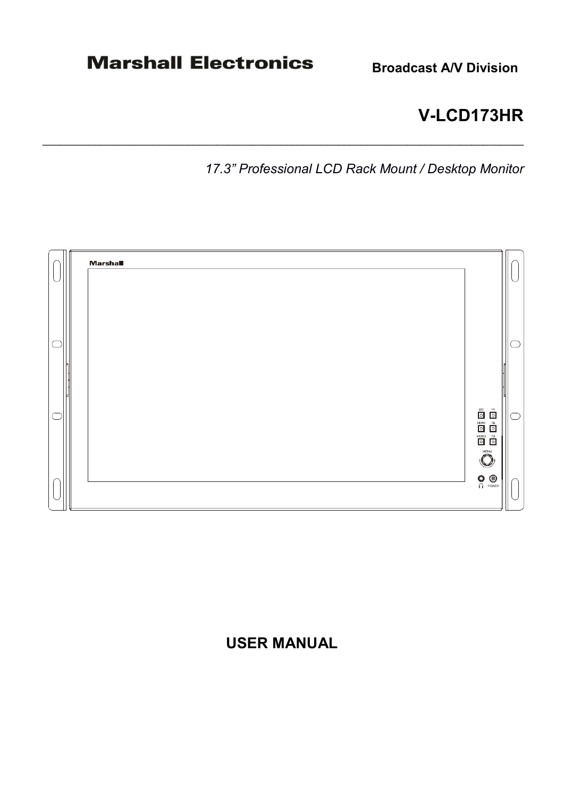# **V-LCD173HR**

*17.3" Professional LCD Rack Mount / Desktop Monitor* 



\_\_\_\_\_\_\_\_\_\_\_\_\_\_\_\_\_\_\_\_\_\_\_\_\_\_\_\_\_\_\_\_\_\_\_\_\_\_\_\_\_\_\_\_\_\_\_\_\_\_\_\_\_\_\_\_\_\_\_\_\_\_\_\_\_\_\_\_\_\_\_\_\_\_\_\_\_\_\_\_\_\_\_

# **USER MANUAL**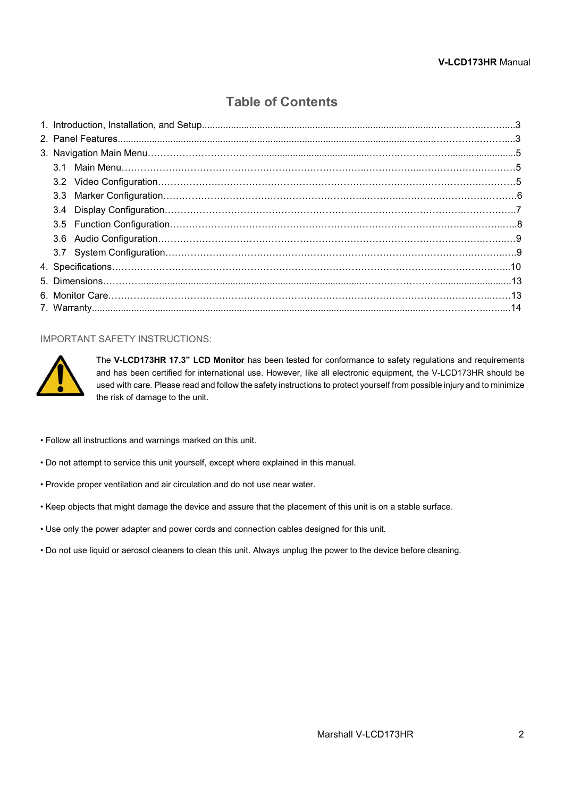# **Table of Contents**

# IMPORTANT SAFETY INSTRUCTIONS:



The **V-LCD173HR 17.3" LCD Monitor** has been tested for conformance to safety regulations and requirements and has been certified for international use. However, like all electronic equipment, the V-LCD173HR should be used with care. Please read and follow the safety instructions to protect yourself from possible injury and to minimize the risk of damage to the unit.

- Follow all instructions and warnings marked on this unit.
- Do not attempt to service this unit yourself, except where explained in this manual.
- Provide proper ventilation and air circulation and do not use near water.
- Keep objects that might damage the device and assure that the placement of this unit is on a stable surface.
- Use only the power adapter and power cords and connection cables designed for this unit.
- Do not use liquid or aerosol cleaners to clean this unit. Always unplug the power to the device before cleaning.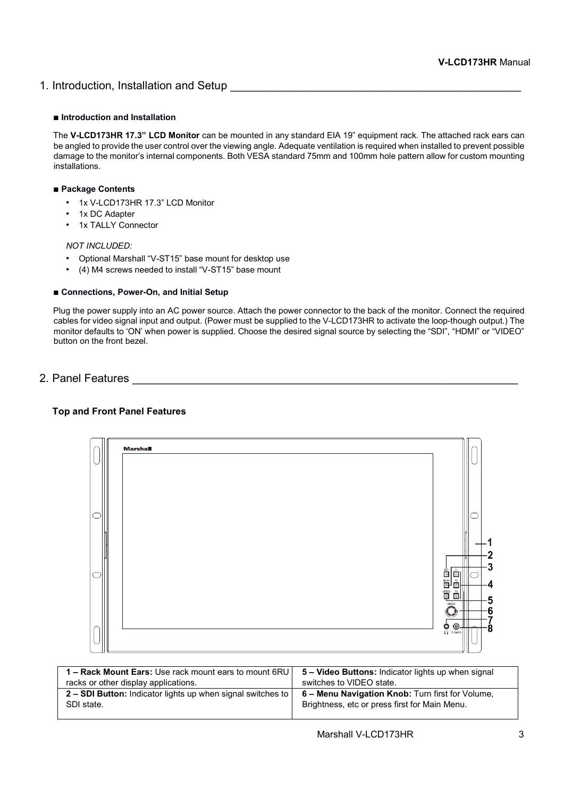# 1. Introduction, Installation and Setup **Example 20** and the setup and the setup and setup and the setup and setup

## ■ **Introduction and Installation**

The **V-LCD173HR 17.3" LCD Monitor** can be mounted in any standard EIA 19" equipment rack. The attached rack ears can be angled to provide the user control over the viewing angle. Adequate ventilation is required when installed to prevent possible damage to the monitor's internal components. Both VESA standard 75mm and 100mm hole pattern allow for custom mounting installations.

# ■ **Package Contents**

- 1x V-LCD173HR 17.3" LCD Monitor
- 1x DC Adapter
- 1x TALLY Connector

# *NOT INCLUDED:*

- Optional Marshall "V-ST15" base mount for desktop use
- (4) M4 screws needed to install "V-ST15" base mount

### ■ **Connections, Power-On, and Initial Setup**

Plug the power supply into an AC power source. Attach the power connector to the back of the monitor. Connect the required cables for video signal input and output. (Power must be supplied to the V-LCD173HR to activate the loop-though output.) The monitor defaults to 'ON' when power is supplied. Choose the desired signal source by selecting the "SDI", "HDMI" or "VIDEO" button on the front bezel.

# 2. Panel Features \_\_\_\_\_\_\_\_\_\_\_\_\_\_\_\_\_\_\_\_\_\_\_\_\_\_\_\_\_\_\_\_\_\_\_\_\_\_\_\_\_\_\_\_\_\_\_\_\_\_\_\_\_\_\_\_\_\_\_\_\_

# **Top and Front Panel Features**

| Marsha |                                                                                                                  |                          |
|--------|------------------------------------------------------------------------------------------------------------------|--------------------------|
|        |                                                                                                                  |                          |
|        | ⊪<br>F1<br>Ō<br>$\circ$<br>$\overline{\overline{\text{O}}}$<br>$rac{F2}{O}$<br>$rac{v_0}{\circ}$<br>$rac{F3}{Q}$ | $\overline{2}$<br>3<br>4 |
|        | MENU<br>◉<br>$\circ \bullet$                                                                                     | 5<br>6<br>8              |

| 1 - Rack Mount Ears: Use rack mount ears to mount 6RU       | 5 - Video Buttons: Indicator lights up when signal |
|-------------------------------------------------------------|----------------------------------------------------|
| racks or other display applications.                        | switches to VIDEO state.                           |
| 2 – SDI Button: Indicator lights up when signal switches to | 6 - Menu Navigation Knob: Turn first for Volume,   |
| SDI state.                                                  | Brightness, etc or press first for Main Menu.      |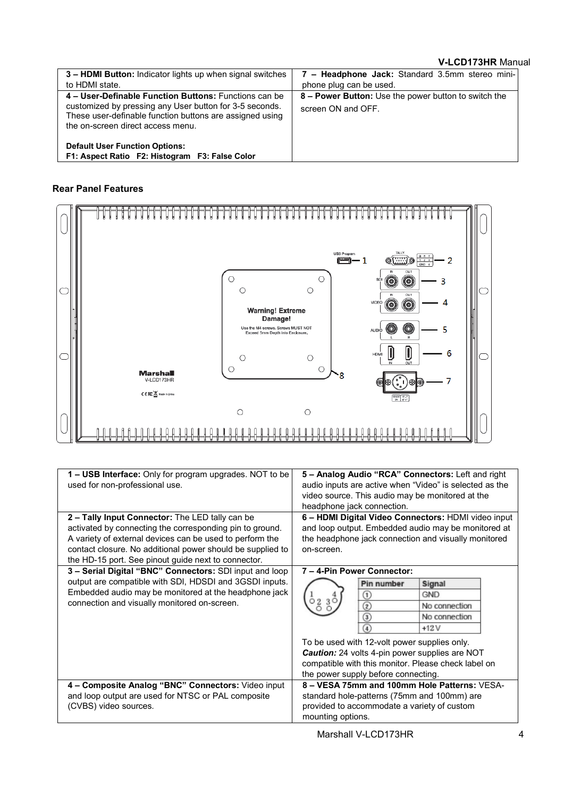# **V-LCD173HR** Manual

| 3 - HDMI Button: Indicator lights up when signal switches<br>to HDMI state.                                                                                                                                       | 7 - Headphone Jack: Standard 3.5mm stereo mini-<br>phone plug can be used. |
|-------------------------------------------------------------------------------------------------------------------------------------------------------------------------------------------------------------------|----------------------------------------------------------------------------|
| 4 – User-Definable Function Buttons: Functions can be<br>customized by pressing any User button for 3-5 seconds.<br>These user-definable function buttons are assigned using<br>the on-screen direct access menu. | 8 – Power Button: Use the power button to switch the<br>screen ON and OFF. |
| <b>Default User Function Options:</b><br>F1: Aspect Ratio F2: Histogram F3: False Color                                                                                                                           |                                                                            |

# **Rear Panel Features**



| 1 - USB Interface: Only for program upgrades. NOT to be                                   | 5 - Analog Audio "RCA" Connectors: Left and right     |
|-------------------------------------------------------------------------------------------|-------------------------------------------------------|
| used for non-professional use.<br>audio inputs are active when "Video" is selected as the |                                                       |
|                                                                                           | video source. This audio may be monitored at the      |
|                                                                                           | headphone jack connection.                            |
| 2 - Tally Input Connector: The LED tally can be                                           | 6 - HDMI Digital Video Connectors: HDMI video input   |
| activated by connecting the corresponding pin to ground.                                  | and loop output. Embedded audio may be monitored at   |
| A variety of external devices can be used to perform the                                  | the headphone jack connection and visually monitored  |
| contact closure. No additional power should be supplied to                                | on-screen.                                            |
| the HD-15 port. See pinout guide next to connector.                                       |                                                       |
| 3 - Serial Digital "BNC" Connectors: SDI input and loop                                   | 7 - 4-Pin Power Connector:                            |
| output are compatible with SDI, HDSDI and 3GSDI inputs.                                   | Pin number<br>Signal                                  |
| Embedded audio may be monitored at the headphone jack                                     | <b>GND</b><br>$\blacksquare$                          |
| connection and visually monitored on-screen.                                              | <u>0230</u><br>No connection<br>$_{\rm 2}$            |
|                                                                                           | No connection<br>ك                                    |
|                                                                                           | $+12V$                                                |
|                                                                                           | To be used with 12-volt power supplies only.          |
|                                                                                           | <b>Caution:</b> 24 volts 4-pin power supplies are NOT |
|                                                                                           | compatible with this monitor. Please check label on   |
|                                                                                           | the power supply before connecting.                   |
| 4 - Composite Analog "BNC" Connectors: Video input                                        | 8 - VESA 75mm and 100mm Hole Patterns: VESA-          |
| and loop output are used for NTSC or PAL composite                                        | standard hole-patterns (75mm and 100mm) are           |
| (CVBS) video sources.                                                                     | provided to accommodate a variety of custom           |
|                                                                                           | mounting options.                                     |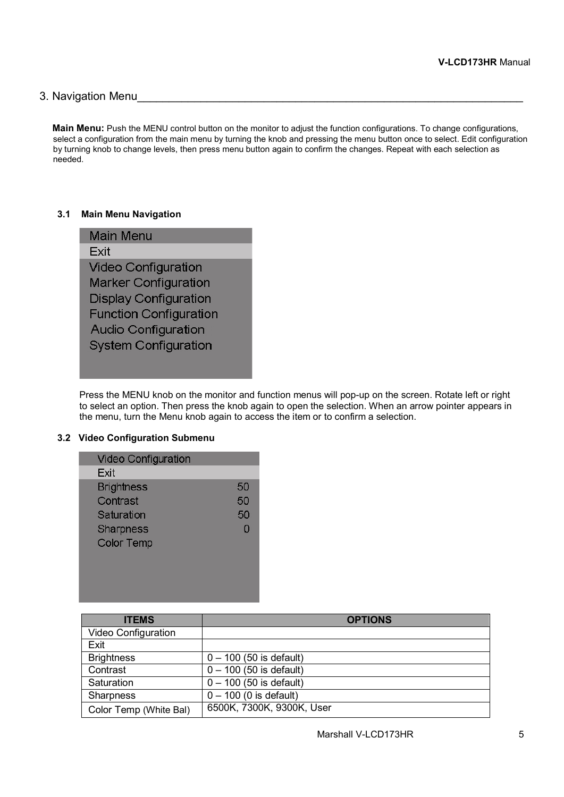# 3. Navigation Menu

**Main Menu:** Push the MENU control button on the monitor to adjust the function configurations. To change configurations, select a configuration from the main menu by turning the knob and pressing the menu button once to select. Edit configuration by turning knob to change levels, then press menu button again to confirm the changes. Repeat with each selection as needed.

# **3.1 Main Menu Navigation**



Press the MENU knob on the monitor and function menus will pop-up on the screen. Rotate left or right to select an option. Then press the knob again to open the selection. When an arrow pointer appears in the menu, turn the Menu knob again to access the item or to confirm a selection.

# **3.2 Video Configuration Submenu**

| <b>Video Configuration</b> |    |
|----------------------------|----|
| Exit                       |    |
| <b>Brightness</b>          | 50 |
| Contrast                   | 50 |
| Saturation                 | 50 |
| Sharpness                  | ∩  |
| <b>Color Temp</b>          |    |
|                            |    |
|                            |    |
|                            |    |
|                            |    |

| <b>ITEMS</b>           | <b>OPTIONS</b>            |
|------------------------|---------------------------|
| Video Configuration    |                           |
| Exit                   |                           |
| <b>Brightness</b>      | $0 - 100$ (50 is default) |
| Contrast               | $0 - 100$ (50 is default) |
| Saturation             | $0 - 100$ (50 is default) |
| <b>Sharpness</b>       | $0 - 100$ (0 is default)  |
| Color Temp (White Bal) | 6500K, 7300K, 9300K, User |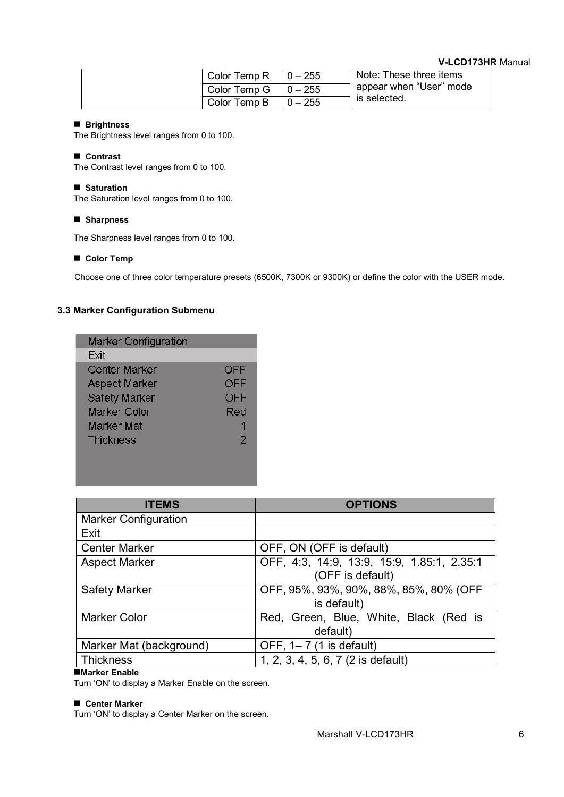# **V-LCD173HR** Manual

| Color Temp R | $10 - 255$ | Note: These three items |
|--------------|------------|-------------------------|
| Color Temp G | $10 - 255$ | appear when "User" mode |
| Color Temp B | $10 - 255$ | is selected.            |

## ■ **Brightness**

The Brightness level ranges from 0 to 100.

### ■ **Contrast**

The Contrast level ranges from 0 to 100.

### ■ **Saturation**

The Saturation level ranges from 0 to 100.

# ■ **Sharpness**

The Sharpness level ranges from 0 to 100.

### ■ **Color Temp**

Choose one of three color temperature presets (6500K, 7300K or 9300K) or define the color with the USER mode.

# **3.3 Marker Configuration Submenu**

| <b>Marker Configuration</b> |     |
|-----------------------------|-----|
| Fxit                        |     |
| Center Marker               | OFF |
| <b>Aspect Marker</b>        | OFF |
| Safety Marker               | OFF |
| Marker Color                | Red |
| Marker Mat                  |     |
| <b>Thickness</b>            | 2   |
|                             |     |
|                             |     |

| <b>ITEMS</b>                | <b>OPTIONS</b>                             |
|-----------------------------|--------------------------------------------|
| <b>Marker Configuration</b> |                                            |
| Exit                        |                                            |
| <b>Center Marker</b>        | OFF, ON (OFF is default)                   |
| <b>Aspect Marker</b>        | OFF, 4:3, 14:9, 13:9, 15:9, 1.85:1, 2.35:1 |
|                             | (OFF is default)                           |
| <b>Safety Marker</b>        | OFF, 95%, 93%, 90%, 88%, 85%, 80% (OFF     |
|                             | is default)                                |
| <b>Marker Color</b>         | Red, Green, Blue, White, Black (Red is     |
|                             | default)                                   |
| Marker Mat (background)     | OFF, 1-7 (1 is default)                    |
| <b>Thickness</b>            | 1, 2, 3, 4, 5, 6, 7 (2 is default)         |

# ■**Marker Enable**

Turn 'ON' to display a Marker Enable on the screen.

#### ■ **Center Marker**

Turn 'ON' to display a Center Marker on the screen.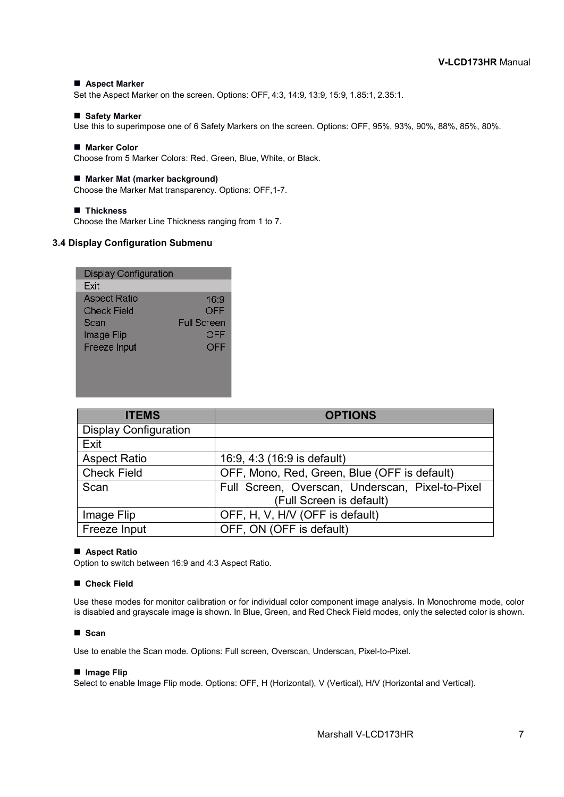### ■ **Aspect Marker**

Set the Aspect Marker on the screen. Options: OFF, 4:3, 14:9, 13:9, 15:9, 1.85:1, 2.35:1.

#### ■ **Safety Marker**

Use this to superimpose one of 6 Safety Markers on the screen. Options: OFF, 95%, 93%, 90%, 88%, 85%, 80%.

#### ■ Marker Color

Choose from 5 Marker Colors: Red, Green, Blue, White, or Black.

#### ■ **Marker Mat (marker background)**

Choose the Marker Mat transparency. Options: OFF,1-7.

#### ■ **Thickness**

Choose the Marker Line Thickness ranging from 1 to 7.

# **3.4 Display Configuration Submenu**

| 16:9               |
|--------------------|
| OFF                |
| <b>Full Screen</b> |
| OFF                |
| OFF                |
|                    |
|                    |
|                    |

| <b>ITEMS</b>                 | <b>OPTIONS</b>                                   |
|------------------------------|--------------------------------------------------|
| <b>Display Configuration</b> |                                                  |
| Exit                         |                                                  |
| <b>Aspect Ratio</b>          | 16:9, 4:3 (16:9 is default)                      |
| <b>Check Field</b>           | OFF, Mono, Red, Green, Blue (OFF is default)     |
| Scan                         | Full Screen, Overscan, Underscan, Pixel-to-Pixel |
|                              | (Full Screen is default)                         |
| Image Flip                   | OFF, H, V, H/V (OFF is default)                  |
| Freeze Input                 | OFF, ON (OFF is default)                         |

#### ■ **Aspect Ratio**

Option to switch between 16:9 and 4:3 Aspect Ratio.

#### ■ **Check Field**

Use these modes for monitor calibration or for individual color component image analysis. In Monochrome mode, color is disabled and grayscale image is shown. In Blue, Green, and Red Check Field modes, only the selected color is shown.

#### ■ **Scan**

Use to enable the Scan mode. Options: Full screen, Overscan, Underscan, Pixel-to-Pixel.

#### ■ **Image Flip**

Select to enable Image Flip mode. Options: OFF, H (Horizontal), V (Vertical), H/V (Horizontal and Vertical).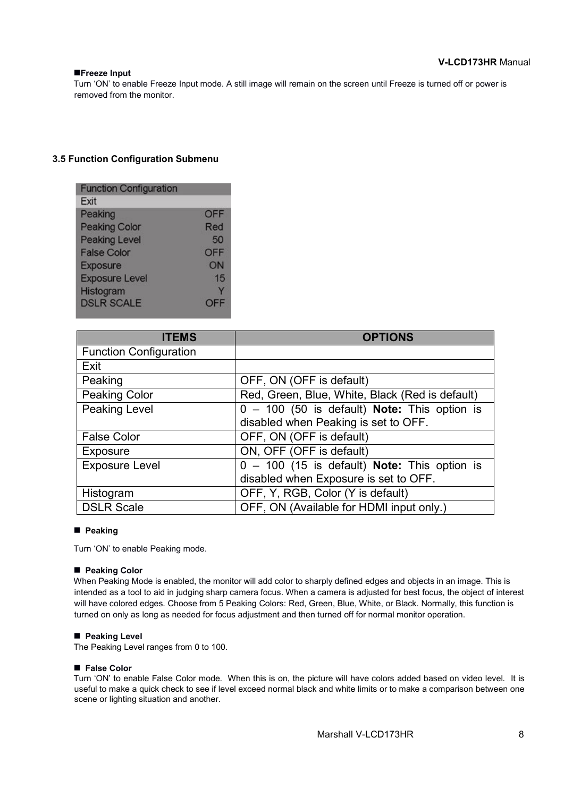## ■**Freeze Input**

Turn 'ON' to enable Freeze Input mode. A still image will remain on the screen until Freeze is turned off or power is removed from the monitor.

# **3.5 Function Configuration Submenu**

| <b>Function Configuration</b> |            |
|-------------------------------|------------|
| Exit                          |            |
| Peaking                       | <b>OFF</b> |
| Peaking Color                 | Red        |
| <b>Peaking Level</b>          | 50         |
| <b>False Color</b>            | OFF        |
| Exposure                      | ON         |
| <b>Exposure Level</b>         | 15         |
| Histogram                     |            |
| <b>DSLR SCALE</b>             | 专          |

| <b>ITEMS</b>                  | <b>OPTIONS</b>                                        |
|-------------------------------|-------------------------------------------------------|
| <b>Function Configuration</b> |                                                       |
| Exit                          |                                                       |
| Peaking                       | OFF, ON (OFF is default)                              |
| <b>Peaking Color</b>          | Red, Green, Blue, White, Black (Red is default)       |
| <b>Peaking Level</b>          | $0 - 100$ (50 is default) <b>Note:</b> This option is |
|                               | disabled when Peaking is set to OFF.                  |
| <b>False Color</b>            | OFF, ON (OFF is default)                              |
| <b>Exposure</b>               | ON, OFF (OFF is default)                              |
| <b>Exposure Level</b>         | $0 - 100$ (15 is default) Note: This option is        |
|                               | disabled when Exposure is set to OFF.                 |
| Histogram                     | OFF, Y, RGB, Color (Y is default)                     |
| <b>DSLR Scale</b>             | OFF, ON (Available for HDMI input only.)              |

### ■ **Peaking**

Turn 'ON' to enable Peaking mode.

### ■ **Peaking Color**

When Peaking Mode is enabled, the monitor will add color to sharply defined edges and objects in an image. This is intended as a tool to aid in judging sharp camera focus. When a camera is adjusted for best focus, the object of interest will have colored edges. Choose from 5 Peaking Colors: Red, Green, Blue, White, or Black. Normally, this function is turned on only as long as needed for focus adjustment and then turned off for normal monitor operation.

### ■ **Peaking Level**

The Peaking Level ranges from 0 to 100.

### ■ **False Color**

Turn 'ON' to enable False Color mode. When this is on, the picture will have colors added based on video level. It is useful to make a quick check to see if level exceed normal black and white limits or to make a comparison between one scene or lighting situation and another.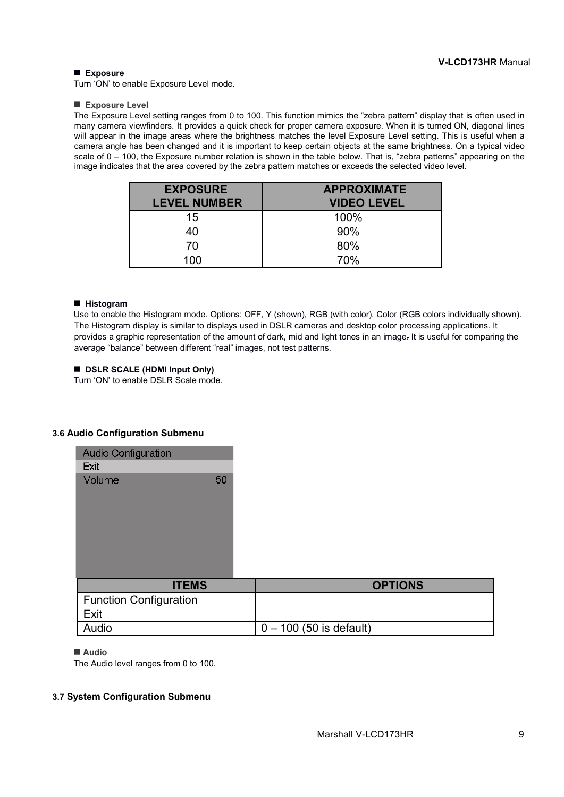### ■ **Exposure**

Turn 'ON' to enable Exposure Level mode.

#### ■ **Exposure Level**

The Exposure Level setting ranges from 0 to 100. This function mimics the "zebra pattern" display that is often used in many camera viewfinders. It provides a quick check for proper camera exposure. When it is turned ON, diagonal lines will appear in the image areas where the brightness matches the level Exposure Level setting. This is useful when a camera angle has been changed and it is important to keep certain objects at the same brightness. On a typical video scale of 0 – 100, the Exposure number relation is shown in the table below. That is, "zebra patterns" appearing on the image indicates that the area covered by the zebra pattern matches or exceeds the selected video level.

| <b>EXPOSURE</b><br><b>LEVEL NUMBER</b> | <b>APPROXIMATE</b><br><b>VIDEO LEVEL</b> |
|----------------------------------------|------------------------------------------|
| 15                                     | 100%                                     |
| 40                                     | 90%                                      |
| 70                                     | 80%                                      |
| 100                                    | 70%                                      |

### ■ **Histogram**

Use to enable the Histogram mode. Options: OFF, Y (shown), RGB (with color), Color (RGB colors individually shown). The Histogram display is similar to displays used in DSLR cameras and desktop color processing applications. It provides a graphic representation of the amount of dark, mid and light tones in an image. It is useful for comparing the average "balance" between different "real" images, not test patterns.

### ■ **DSLR SCALE (HDMI Input Only)**

Turn 'ON' to enable DSLR Scale mode.

### **3.6 Audio Configuration Submenu**

| Audio Configuration           |                           |
|-------------------------------|---------------------------|
| Exit                          |                           |
| Volume<br>50                  |                           |
| <b>ITEMS</b>                  | <b>OPTIONS</b>            |
| <b>Function Configuration</b> |                           |
| Exit                          |                           |
| Audio                         | $0 - 100$ (50 is default) |

#### ■ **Audio**

The Audio level ranges from 0 to 100.

## **3.7 System Configuration Submenu**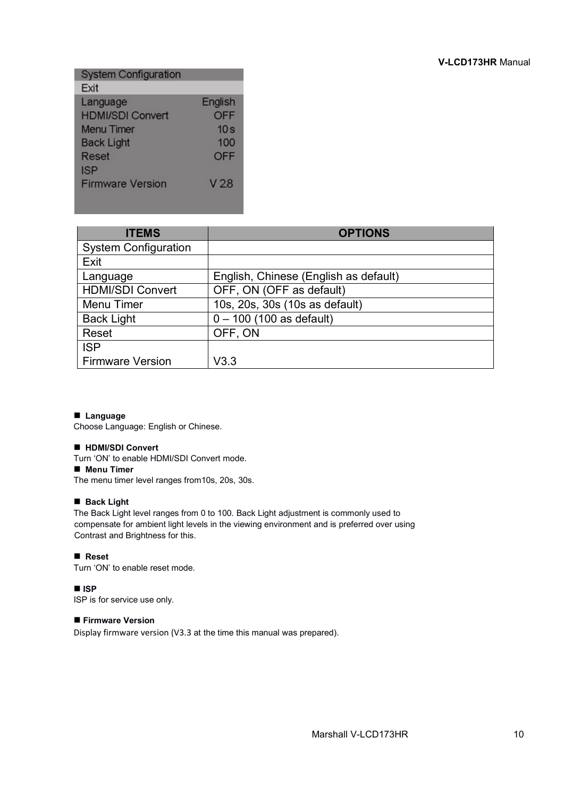| <b>System Configuration</b> |                 |
|-----------------------------|-----------------|
| Exit                        |                 |
| Language                    | English         |
| <b>HDMI/SDI Convert</b>     | OFF             |
| <b>Menu</b> Timer           | 10 <sub>s</sub> |
| <b>Back Light</b>           | 100             |
| Reset                       | OFF             |
| <b>ISP</b>                  |                 |
| <b>Firmware Version</b>     | V 28            |
|                             |                 |

| <b>ITEMS</b>                | <b>OPTIONS</b>                        |
|-----------------------------|---------------------------------------|
| <b>System Configuration</b> |                                       |
| Exit                        |                                       |
| Language                    | English, Chinese (English as default) |
| <b>HDMI/SDI Convert</b>     | OFF, ON (OFF as default)              |
| <b>Menu Timer</b>           | 10s, 20s, 30s (10s as default)        |
| <b>Back Light</b>           | $0 - 100$ (100 as default)            |
| Reset                       | OFF, ON                               |
| <b>ISP</b>                  |                                       |
| <b>Firmware Version</b>     | V3.3                                  |

## ■ **Language**

Choose Language: English or Chinese.

## ■ **HDMI/SDI Convert**

Turn 'ON' to enable HDMI/SDI Convert mode.

# ■ **Menu Timer**

The menu timer level ranges from10s, 20s, 30s.

# ■ **Back Light**

The Back Light level ranges from 0 to 100. Back Light adjustment is commonly used to compensate for ambient light levels in the viewing environment and is preferred over using Contrast and Brightness for this.

# ■ **Reset**

Turn 'ON' to enable reset mode.

# ■ **ISP**

ISP is for service use only.

### ■ **Firmware Version**

Display firmware version (V3.3 at the time this manual was prepared).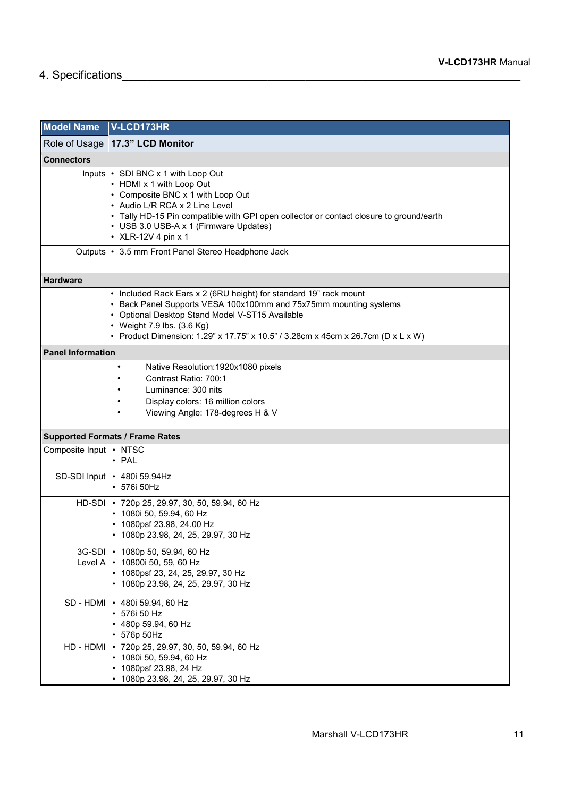# 4. Specifications\_\_\_\_\_\_\_\_\_\_\_\_\_\_\_\_\_\_\_\_\_\_\_\_\_\_\_\_\_\_\_\_\_\_\_\_\_\_\_\_\_\_\_\_\_\_\_\_\_\_\_\_\_\_\_\_\_\_\_\_\_\_\_

| <b>Model Name</b>                                                                                                                                            | V-LCD173HR                                                                                                                                                                                                                                                                                                  |
|--------------------------------------------------------------------------------------------------------------------------------------------------------------|-------------------------------------------------------------------------------------------------------------------------------------------------------------------------------------------------------------------------------------------------------------------------------------------------------------|
| Role of Usage                                                                                                                                                | 17.3" LCD Monitor                                                                                                                                                                                                                                                                                           |
| <b>Connectors</b>                                                                                                                                            |                                                                                                                                                                                                                                                                                                             |
|                                                                                                                                                              | Inputs   GDI BNC x 1 with Loop Out<br>• HDMI x 1 with Loop Out<br>• Composite BNC x 1 with Loop Out<br>• Audio L/R RCA x 2 Line Level<br>• Tally HD-15 Pin compatible with GPI open collector or contact closure to ground/earth<br>• USB 3.0 USB-A x 1 (Firmware Updates)<br>• XLR-12V 4 pin x 1           |
|                                                                                                                                                              | Outputs   • 3.5 mm Front Panel Stereo Headphone Jack                                                                                                                                                                                                                                                        |
| <b>Hardware</b>                                                                                                                                              |                                                                                                                                                                                                                                                                                                             |
|                                                                                                                                                              | • Included Rack Ears x 2 (6RU height) for standard 19" rack mount<br>• Back Panel Supports VESA 100x100mm and 75x75mm mounting systems<br>• Optional Desktop Stand Model V-ST15 Available<br>• Weight 7.9 lbs. (3.6 Kg)<br>• Product Dimension: 1.29" x 17.75" x 10.5" / 3.28cm x 45cm x 26.7cm (D x L x W) |
| <b>Panel Information</b>                                                                                                                                     |                                                                                                                                                                                                                                                                                                             |
| Native Resolution: 1920x1080 pixels<br>Contrast Ratio: 700:1<br>Luminance: 300 nits<br>Display colors: 16 million colors<br>Viewing Angle: 178-degrees H & V |                                                                                                                                                                                                                                                                                                             |
|                                                                                                                                                              | <b>Supported Formats / Frame Rates</b>                                                                                                                                                                                                                                                                      |
| Composite Input   • NTSC                                                                                                                                     | $\cdot$ PAL                                                                                                                                                                                                                                                                                                 |
| SD-SDI Input                                                                                                                                                 | • 480i 59.94Hz<br>• 576i 50Hz                                                                                                                                                                                                                                                                               |
|                                                                                                                                                              | HD-SDI   · 720p 25, 29.97, 30, 50, 59.94, 60 Hz<br>• 1080i 50, 59.94, 60 Hz<br>• 1080psf 23.98, 24.00 Hz<br>• 1080p 23.98, 24, 25, 29.97, 30 Hz                                                                                                                                                             |
| Level A                                                                                                                                                      | 3G-SDI • 1080p 50, 59.94, 60 Hz<br>• 10800i 50, 59, 60 Hz<br>• 1080psf 23, 24, 25, 29.97, 30 Hz<br>• 1080p 23.98, 24, 25, 29.97, 30 Hz                                                                                                                                                                      |
| SD - HDMI                                                                                                                                                    | • 480i 59.94, 60 Hz<br>• 576i 50 Hz<br>• 480p 59.94, 60 Hz<br>$\cdot$ 576p 50Hz                                                                                                                                                                                                                             |
| HD - HDMI                                                                                                                                                    | *720p 25, 29.97, 30, 50, 59.94, 60 Hz<br>• 1080i 50, 59.94, 60 Hz<br>• 1080psf 23.98, 24 Hz<br>• 1080p 23.98, 24, 25, 29.97, 30 Hz                                                                                                                                                                          |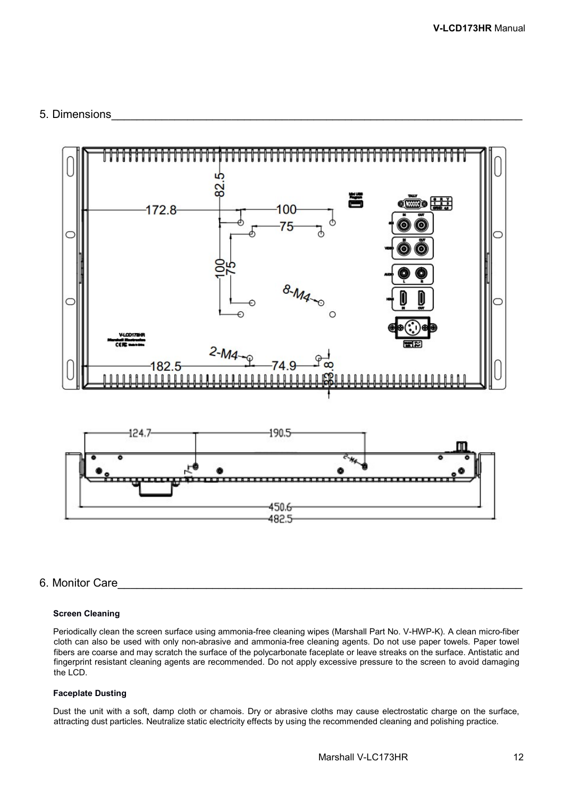# 5. Dimensions



# 6. Monitor Care

### **Screen Cleaning**

Periodically clean the screen surface using ammonia-free cleaning wipes (Marshall Part No. V-HWP-K). A clean micro-fiber cloth can also be used with only non-abrasive and ammonia-free cleaning agents. Do not use paper towels. Paper towel fibers are coarse and may scratch the surface of the polycarbonate faceplate or leave streaks on the surface. Antistatic and fingerprint resistant cleaning agents are recommended. Do not apply excessive pressure to the screen to avoid damaging the LCD.

## **Faceplate Dusting**

Dust the unit with a soft, damp cloth or chamois. Dry or abrasive cloths may cause electrostatic charge on the surface, attracting dust particles. Neutralize static electricity effects by using the recommended cleaning and polishing practice.